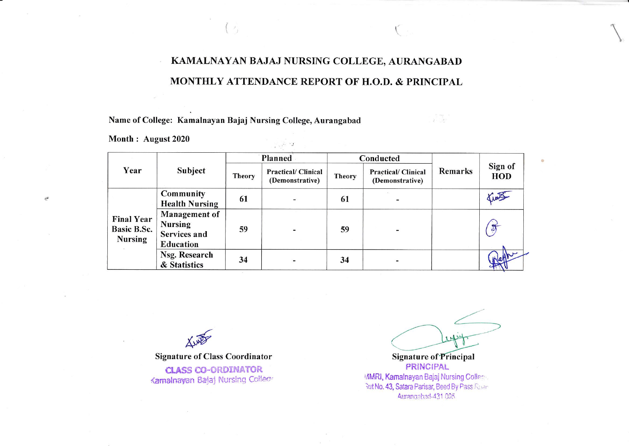## KAMALNAYAN BAJAJ NURSING COLLEGE, AURANGABAD MONTHLY ATTENDANCE REPORT OF H.O.D. & PRINCIPAL

 $\frac{1}{2}$  ,  $\alpha$  ,  $\alpha$ 

Name of College: Kamalnayan Bajaj Nursing College, Aurangabad

 $\left( \begin{array}{c} \rightarrow \\ \rightarrow \end{array} \right)$ 

Month: August 2020

 $\frac{1}{2}$ 

|                                                    | Subject                                                             | Planned       |                                              | Conducted     |                                              |                |                |
|----------------------------------------------------|---------------------------------------------------------------------|---------------|----------------------------------------------|---------------|----------------------------------------------|----------------|----------------|
| Year                                               |                                                                     | <b>Theory</b> | <b>Practical/Clinical</b><br>(Demonstrative) | <b>Theory</b> | <b>Practical/Clinical</b><br>(Demonstrative) | <b>Remarks</b> | Sign of<br>HOD |
| <b>Final Year</b><br>Basic B.Sc.<br><b>Nursing</b> | Community<br><b>Health Nursing</b>                                  | 61            |                                              | 61            |                                              |                | TIME           |
|                                                    | <b>Management of</b><br><b>Nursing</b><br>Services and<br>Education | 59            |                                              | 59            |                                              |                | $\sigma$       |
|                                                    | Nsg. Research<br>& Statistics                                       | 34            |                                              | 34            |                                              |                | (pletthe       |

**Signature of Class Coordinator CLASS CO-ORDINATOR** Kamalnayan Bajaj Nursing College

**Signature of Principal PRINCIPAL** MMRI, Kamalnayan Bajaj Nursing Collery But No. 43, Satara Parisar, Beed By Pass Road

 $\alpha$  .  $\alpha$  ,  $\alpha$ 

Aurangabad-431 005